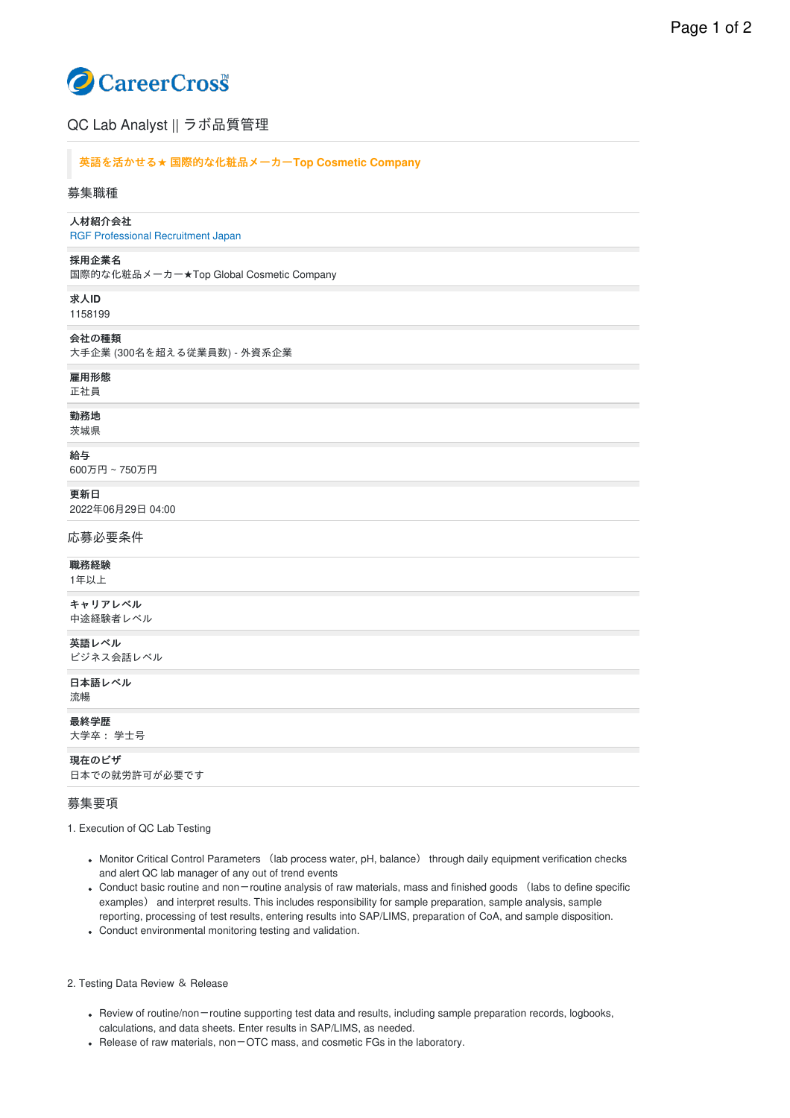# CareerCross

# QC Lab Analyst || ラボ品質管理

## 英語を活かせる**★** 国際的な化粧品メーカー**Top Cosmetic Company**

#### 募集職種

# ⼈材紹介会社

RGF [Professional](https://www.careercross.com/company/detail-347234) Recruitment Japan

#### 採用企業名

国際的な化粧品メーカー★Top Global Cosmetic Company

求⼈**ID** 1158199

#### 会社の種類

⼤⼿企業 (300名を超える従業員数) - 外資系企業

## 雇⽤形態

正社員

# 勤務地

茨城県

#### 給与

600万円 ~ 750万円

更新日

2022年06⽉29⽇ 04:00

応募必要条件

#### 職務経験

1年以上

キャリアレベル 中途経験者レベル

英語レベル

ビジネス会話レベル

日本語レベル 流暢

最終学歴

大学卒: 学士号

現在のビザ 日本での就労許可が必要です

## 募集要項

1. Execution of QC Lab Testing

- Monitor Critical Control Parameters (lab process water, pH, balance) through daily equipment verification checks and alert QC lab manager of any out of trend events
- Conduct basic routine and non-routine analysis of raw materials, mass and finished goods (labs to define specific examples) and interpret results. This includes responsibility for sample preparation, sample analysis, sample reporting, processing of test results, entering results into SAP/LIMS, preparation of CoA, and sample disposition.
- Conduct environmental monitoring testing and validation.

#### 2. Testing Data Review & Release

- Review of routine/non-routine supporting test data and results, including sample preparation records, logbooks, calculations, and data sheets. Enter results in SAP/LIMS, as needed.
- Release of raw materials, non-OTC mass, and cosmetic FGs in the laboratory.